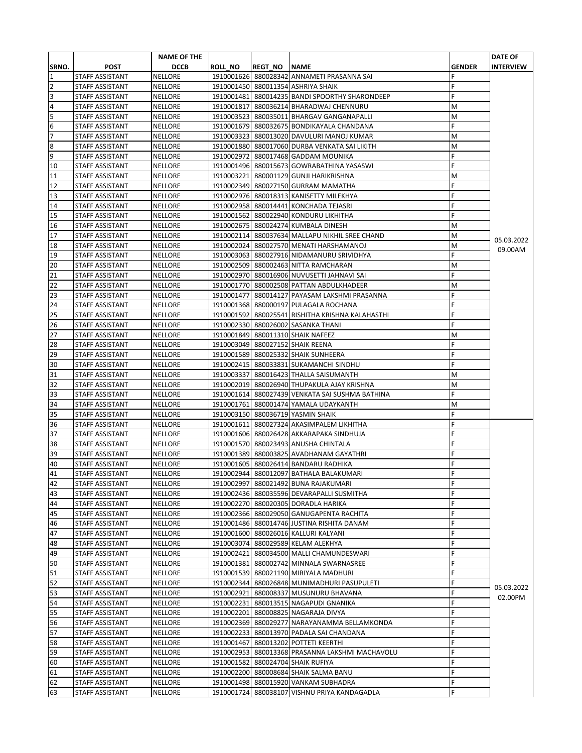|                         |                        | <b>NAME OF THE</b> |                |                |                                                  |               | <b>DATE OF</b>   |
|-------------------------|------------------------|--------------------|----------------|----------------|--------------------------------------------------|---------------|------------------|
| SRNO.                   | <b>POST</b>            | <b>DCCB</b>        | <b>ROLL_NO</b> | <b>REGT NO</b> | <b>NAME</b>                                      | <b>GENDER</b> | <b>INTERVIEW</b> |
| 1                       | STAFF ASSISTANT        | <b>NELLORE</b>     |                |                | 1910001626 880028342 ANNAMETI PRASANNA SAI       |               |                  |
| $\overline{2}$          | STAFF ASSISTANT        | <b>NELLORE</b>     |                |                | 1910001450 880011354 ASHRIYA SHAIK               | F             |                  |
| 3                       | STAFF ASSISTANT        | <b>NELLORE</b>     |                |                | 1910001481 880014235 BANDI SPOORTHY SHARONDEEP   | F             |                  |
| $\overline{\mathbf{4}}$ | STAFF ASSISTANT        | <b>NELLORE</b>     |                |                | 1910001817 880036214 BHARADWAJ CHENNURU          | М             |                  |
| 5                       | STAFF ASSISTANT        | <b>NELLORE</b>     |                |                | 1910003523 880035011 BHARGAV GANGANAPALLI        | М             |                  |
| 6                       | STAFF ASSISTANT        | <b>NELLORE</b>     |                |                | 1910001679 880032675 BONDIKAYALA CHANDANA        | F             |                  |
| 17                      | STAFF ASSISTANT        | <b>NELLORE</b>     |                |                | 1910003323 880013020 DAVULURI MANOJ KUMAR        | M             |                  |
| 8                       | STAFF ASSISTANT        | <b>NELLORE</b>     |                |                | 1910001880 880017060 DURBA VENKATA SAI LIKITH    | М             |                  |
| 9                       | <b>STAFF ASSISTANT</b> | <b>NELLORE</b>     |                |                | 1910002972 880017468 GADDAM MOUNIKA              | F             |                  |
| 10                      | <b>STAFF ASSISTANT</b> | <b>NELLORE</b>     |                |                | 1910001496 880015673 GOWRABATHINA YASASWI        | F             |                  |
| 11                      | STAFF ASSISTANT        | <b>NELLORE</b>     |                |                | 1910003221 880001129 GUNJI HARIKRISHNA           | М             |                  |
| 12                      | STAFF ASSISTANT        | <b>NELLORE</b>     |                |                | 1910002349 880027150 GURRAM MAMATHA              | Ë             |                  |
| 13                      | <b>STAFF ASSISTANT</b> | <b>NELLORE</b>     |                |                | 1910002976 880018313 KANISETTY MILEKHYA          | F             |                  |
| 14                      | STAFF ASSISTANT        | <b>NELLORE</b>     |                |                | 1910002958 880014441 KONCHADA TEJASRI            | F             |                  |
| 15                      | STAFF ASSISTANT        | <b>NELLORE</b>     |                |                | 1910001562 880022940 KONDURU LIKHITHA            | F             |                  |
| 16                      | STAFF ASSISTANT        | <b>NELLORE</b>     |                |                | 1910002675 880024274 KUMBALA DINESH              | M             |                  |
| 17                      | <b>STAFF ASSISTANT</b> | <b>NELLORE</b>     |                |                | 1910002114 880037634 MALLAPU NIKHIL SREE CHAND   | M             | 05.03.2022       |
| 18                      | STAFF ASSISTANT        | <b>NELLORE</b>     |                |                | 1910002024 880027570 MENATI HARSHAMANOJ          | M             | 09.00AM          |
| 19                      | STAFF ASSISTANT        | <b>NELLORE</b>     |                |                | 1910003063 880027916 NIDAMANURU SRIVIDHYA        | F             |                  |
| 20                      | STAFF ASSISTANT        | <b>NELLORE</b>     |                |                | 1910002509 880002463 NITTA RAMCHARAN             | M             |                  |
| 21                      | STAFF ASSISTANT        | <b>NELLORE</b>     |                |                | 1910002970 880016906 NUVUSETTI JAHNAVI SAI       | F             |                  |
| 22                      | STAFF ASSISTANT        | <b>NELLORE</b>     |                |                | 1910001770 880002508 PATTAN ABDULKHADEER         | M             |                  |
| 23                      | STAFF ASSISTANT        | <b>NELLORE</b>     |                |                | 1910001477 880014127 PAYASAM LAKSHMI PRASANNA    | F             |                  |
| 24                      | STAFF ASSISTANT        | <b>NELLORE</b>     |                |                | 1910001368 880000197 PULAGALA ROCHANA            | F             |                  |
| 25                      | <b>STAFF ASSISTANT</b> | <b>NELLORE</b>     |                |                | 1910001592 880025541 RISHITHA KRISHNA KALAHASTHI | F             |                  |
| 26                      | <b>STAFF ASSISTANT</b> | <b>NELLORE</b>     |                |                | 1910002330 880026002 SASANKA THANI               | F             |                  |
| 27                      | STAFF ASSISTANT        | <b>NELLORE</b>     |                |                | 1910001849 880011310 SHAIK NAFEEZ                | M             |                  |
| 28                      | STAFF ASSISTANT        | <b>NELLORE</b>     |                |                | 1910003049 880027152 SHAIK REENA                 | F             |                  |
| 29                      | STAFF ASSISTANT        | <b>NELLORE</b>     |                |                | 1910001589 880025332 SHAIK SUNHEERA              | F             |                  |
| 30                      | <b>STAFF ASSISTANT</b> | <b>NELLORE</b>     |                |                | 1910002415 880033831 SUKAMANCHI SINDHU           | F             |                  |
| 31                      | STAFF ASSISTANT        | <b>NELLORE</b>     |                |                | 1910003337 880016423 THALLA SAISUMANTH           | М             |                  |
| 32                      | <b>STAFF ASSISTANT</b> | <b>NELLORE</b>     |                |                | 1910002019 880026940 THUPAKULA AJAY KRISHNA      | M             |                  |
| 33                      | STAFF ASSISTANT        | <b>NELLORE</b>     |                |                | 1910001614 880027439 VENKATA SAI SUSHMA BATHINA  | F             |                  |
| 34                      | STAFF ASSISTANT        | <b>NELLORE</b>     |                |                | 1910001761 880001474 YAMALA UDAYKANTH            | M             |                  |
| 35                      | STAFF ASSISTANT        | <b>NELLORE</b>     |                |                | 1910003150 880036719 YASMIN SHAIK                | F             |                  |
| 36                      | <b>STAFF ASSISTANT</b> | <b>NELLORE</b>     |                |                | 1910001611 880027324 AKASIMPALEM LIKHITHA        | F             |                  |
| 37                      | STAFF ASSISTANT        | <b>NELLORE</b>     |                |                | 1910001606 880026428 AKKARAPAKA SINDHUJA         | F             |                  |
| 38                      | <b>STAFF ASSISTANT</b> | <b>NELLORE</b>     |                |                | 1910001570 880023493 ANUSHA CHINTALA             | F             |                  |
| 39                      | STAFF ASSISTANT        | <b>NELLORE</b>     |                |                | 1910001389 880003825 AVADHANAM GAYATHRI          |               |                  |
| 40                      | STAFF ASSISTANT        | <b>NELLORE</b>     |                |                | 1910001605 880026414 BANDARU RADHIKA             | F             |                  |
| 41                      | <b>STAFF ASSISTANT</b> | <b>NELLORE</b>     |                |                | 1910002944 880012097 BATHALA BALAKUMARI          | F             |                  |
| 42                      | STAFF ASSISTANT        | NELLORE            |                |                | 1910002997 880021492 BUNA RAJAKUMARI             | F             |                  |
| 43                      | STAFF ASSISTANT        | <b>NELLORE</b>     |                |                | 1910002436 880035596 DEVARAPALLI SUSMITHA        |               |                  |
| 44                      | STAFF ASSISTANT        | NELLORE            |                |                | 1910002270 880020305 DORADLA HARIKA              | F             |                  |
| 45                      | STAFF ASSISTANT        | NELLORE            |                |                | 1910002366 880029050 GANUGAPENTA RACHITA         | F             |                  |
| 46                      | STAFF ASSISTANT        | NELLORE            |                |                | 1910001486 880014746 JUSTINA RISHITA DANAM       | F             |                  |
| 47                      | STAFF ASSISTANT        | <b>NELLORE</b>     |                |                | 1910001600 880026016 KALLURI KALYANI             | F             |                  |
| 48                      | STAFF ASSISTANT        | <b>NELLORE</b>     |                |                | 1910003074 880029589 KELAM ALEKHYA               | F             |                  |
| 49                      | STAFF ASSISTANT        | <b>NELLORE</b>     |                |                | 1910002421 880034500 MALLI CHAMUNDESWARI         | F             |                  |
| 50                      | STAFF ASSISTANT        | NELLORE            |                |                | 1910001381 880002742 MINNALA SWARNASREE          | F             |                  |
| 51                      | <b>STAFF ASSISTANT</b> | <b>NELLORE</b>     |                |                | 1910001539 880021190 MIRIYALA MADHURI            | F             |                  |
| 52                      | STAFF ASSISTANT        | <b>NELLORE</b>     |                |                | 1910002344 880026848 MUNIMADHURI PASUPULETI      | F             | 05.03.2022       |
| 53                      | STAFF ASSISTANT        | <b>NELLORE</b>     |                |                | 1910002921 880008337 MUSUNURU BHAVANA            | F             | 02.00PM          |
| 54                      | STAFF ASSISTANT        | NELLORE            |                |                | 1910002231 880013515 NAGAPUDI GNANIKA            | F             |                  |
| 55                      | STAFF ASSISTANT        | NELLORE            |                |                | 1910002201 880008825 NAGARAJA DIVYA              | F             |                  |
| 56                      | STAFF ASSISTANT        | <b>NELLORE</b>     |                |                | 1910002369 880029277 NARAYANAMMA BELLAMKONDA     | F             |                  |
| 57                      | STAFF ASSISTANT        | NELLORE            |                |                | 1910002233 880013970 PADALA SAI CHANDANA         | F             |                  |
| 58                      | STAFF ASSISTANT        | <b>NELLORE</b>     |                |                | 1910001467 880013202 POTTETI KEERTHI             | F             |                  |
| 59                      | STAFF ASSISTANT        | <b>NELLORE</b>     |                |                | 1910002953 880013368 PRASANNA LAKSHMI MACHAVOLU  | F             |                  |
| 60                      | STAFF ASSISTANT        | <b>NELLORE</b>     |                |                | 1910001582 880024704 SHAIK RUFIYA                | F             |                  |
| 61                      | STAFF ASSISTANT        | NELLORE            |                |                | 1910002200 880008684 SHAIK SALMA BANU            | F             |                  |
| 62                      | STAFF ASSISTANT        | <b>NELLORE</b>     |                |                | 1910001498 880015920 VANKAM SUBHADRA             | F             |                  |
| 63                      | STAFF ASSISTANT        | NELLORE            |                |                | 1910001724 880038107 VISHNU PRIYA KANDAGADLA     | F             |                  |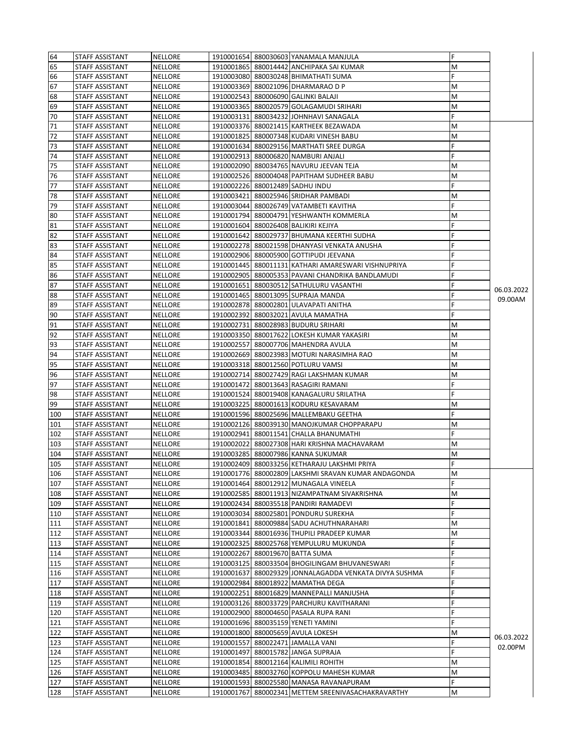| 64  | STAFF ASSISTANT | <b>NELLORE</b> |            | 1910001654 880030603 YANAMALA MANJULA               | F |            |
|-----|-----------------|----------------|------------|-----------------------------------------------------|---|------------|
|     | STAFF ASSISTANT |                |            |                                                     |   |            |
| 65  |                 | <b>NELLORE</b> |            | 1910001865 880014442 ANCHIPAKA SAI KUMAR            | M |            |
| 66  | STAFF ASSISTANT | <b>NELLORE</b> |            | 1910003080 880030248 BHIMATHATI SUMA                | F |            |
| 67  | STAFF ASSISTANT | <b>NELLORE</b> |            | 1910003369 880021096 DHARMARAO D P                  | M |            |
| 68  | STAFF ASSISTANT | <b>NELLORE</b> |            | 1910002543 880006090 GALINKI BALAJI                 | М |            |
| 69  | STAFF ASSISTANT | <b>NELLORE</b> |            | 1910003365 880020579 GOLAGAMUDI SRIHARI             | M |            |
| 70  | STAFF ASSISTANT | <b>NELLORE</b> |            | 1910003131 880034232 JOHNHAVI SANAGALA              | F |            |
| 71  | STAFF ASSISTANT | <b>NELLORE</b> |            | 1910003376 880021415 KARTHEEK BEZAWADA              | M |            |
| 72  | STAFF ASSISTANT | <b>NELLORE</b> |            | 1910001825 880007348 KUDARI VINESH BABU             | м |            |
| 73  | STAFF ASSISTANT | <b>NELLORE</b> |            | 1910001634 880029156 MARTHATI SREE DURGA            |   |            |
| 74  | STAFF ASSISTANT | <b>NELLORE</b> |            | 1910002913 880006820 NAMBURI ANJALI                 | F |            |
|     | STAFF ASSISTANT |                |            |                                                     |   |            |
| 75  |                 | <b>NELLORE</b> |            | 1910002090 880034765 NAVURU JEEVAN TEJA             | М |            |
| 76  | STAFF ASSISTANT | <b>NELLORE</b> |            | 1910002526 880004048 PAPITHAM SUDHEER BABU          | М |            |
| 77  | STAFF ASSISTANT | <b>NELLORE</b> |            | 1910002226 880012489 SADHU INDU                     | F |            |
| 78  | STAFF ASSISTANT | <b>NELLORE</b> |            | 1910003421 880025946 SRIDHAR PAMBADI                | М |            |
| 79  | STAFF ASSISTANT | <b>NELLORE</b> |            | 1910003044 880026749 VATAMBETI KAVITHA              | F |            |
| 80  | STAFF ASSISTANT | <b>NELLORE</b> |            | 1910001794 880004791 YESHWANTH KOMMERLA             | м |            |
| 81  | STAFF ASSISTANT | NELLORE        |            | 1910001604 880026408 BALIKIRI KEJIYA                | F |            |
| 82  | STAFF ASSISTANT | <b>NELLORE</b> |            | 1910001642 880029737 BHUMANA KEERTHI SUDHA          |   |            |
| 83  | STAFF ASSISTANT | <b>NELLORE</b> |            | 1910002278 880021598 DHANYASI VENKATA ANUSHA        |   |            |
| 84  | STAFF ASSISTANT | <b>NELLORE</b> |            | 1910002906 880005900 GOTTIPUDI JEEVANA              |   |            |
| 85  | STAFF ASSISTANT | <b>NELLORE</b> |            | 1910001445 880011131 KATHARI AMARESWARI VISHNUPRIYA | F |            |
|     |                 |                |            |                                                     |   |            |
| 86  | STAFF ASSISTANT | <b>NELLORE</b> |            | 1910002905 880005353 PAVANI CHANDRIKA BANDLAMUDI    |   |            |
| 87  | STAFF ASSISTANT | <b>NELLORE</b> |            | 1910001651 880030512 SATHULURU VASANTHI             | F | 06.03.2022 |
| 88  | STAFF ASSISTANT | <b>NELLORE</b> |            | 1910001465 880013095 SUPRAJA MANDA                  |   | 09.00AM    |
| 89  | STAFF ASSISTANT | <b>NELLORE</b> |            | 1910002878 880002801 ULAVAPATI ANITHA               | F |            |
| 90  | STAFF ASSISTANT | <b>NELLORE</b> |            | 1910002392 880032021 AVULA MAMATHA                  | F |            |
| 91  | STAFF ASSISTANT | <b>NELLORE</b> |            | 1910002731 880028983 BUDURU SRIHARI                 | M |            |
| 92  | STAFF ASSISTANT | <b>NELLORE</b> |            | 1910003350 880017622 LOKESH KUMAR YAKASIRI          | M |            |
| 93  | STAFF ASSISTANT | <b>NELLORE</b> |            | 1910002557 880007706 MAHENDRA AVULA                 | М |            |
| 94  | STAFF ASSISTANT | <b>NELLORE</b> |            | 1910002669 880023983 MOTURI NARASIMHA RAO           | M |            |
|     |                 |                |            |                                                     |   |            |
| 95  | STAFF ASSISTANT | <b>NELLORE</b> |            | 1910003318 880012560 POTLURU VAMSI                  | м |            |
| 96  | STAFF ASSISTANT | <b>NELLORE</b> |            | 1910002714 880027429 RAGI LAKSHMAN KUMAR            | M |            |
| 97  | STAFF ASSISTANT | <b>NELLORE</b> |            | 1910001472 880013643 RASAGIRI RAMANI                | F |            |
| 98  | STAFF ASSISTANT | <b>NELLORE</b> |            | 1910001524 880019408 KANAGALURU SRILATHA            | F |            |
| 99  | STAFF ASSISTANT | <b>NELLORE</b> |            | 1910003225 880001613 KODURU KESAVARAM               | м |            |
| 100 | STAFF ASSISTANT | <b>NELLORE</b> |            | 1910001596 880025696 MALLEMBAKU GEETHA              | F |            |
| 101 | STAFF ASSISTANT | <b>NELLORE</b> |            | 1910002126 880039130 MANOJKUMAR CHOPPARAPU          | М |            |
| 102 | STAFF ASSISTANT | <b>NELLORE</b> |            | 1910002941 880011541 CHALLA BHANUMATHI              | F |            |
| 103 | STAFF ASSISTANT | <b>NELLORE</b> |            | 1910002022 880027308 HARI KRISHNA MACHAVARAM        | М |            |
| 104 | STAFF ASSISTANT | <b>NELLORE</b> |            | 1910003285 880007986 KANNA SUKUMAR                  | M |            |
| 105 | STAFF ASSISTANT | <b>NELLORE</b> |            | 1910002409 880033256 KETHARAJU LAKSHMI PRIYA        | F |            |
| 106 | STAFF ASSISTANT | <b>NELLORE</b> |            | 1910001776 880002809 LAKSHMI SRAVAN KUMAR ANDAGONDA | M |            |
|     |                 |                |            |                                                     |   |            |
| 107 | STAFF ASSISTANT | <b>NELLORE</b> |            | 1910001464 880012912 MUNAGALA VINEELA               | F |            |
| 108 | STAFF ASSISTANT | <b>NELLORE</b> |            | 1910002585 880011913 NIZAMPATNAM SIVAKRISHNA        | М |            |
| 109 | STAFF ASSISTANT | <b>NELLORE</b> | 1910002434 | 880035518 PANDIRI RAMADEVI                          | F |            |
| 110 | STAFF ASSISTANT | NELLORE        |            | 1910003034 880025801 PONDURU SUREKHA                | F |            |
| 111 | STAFF ASSISTANT | NELLORE        |            | 1910001841 880009884 SADU ACHUTHNARAHARI            | М |            |
| 112 | STAFF ASSISTANT | NELLORE        | 1910003344 | 880016936 THUPILI PRADEEP KUMAR                     | М |            |
| 113 | STAFF ASSISTANT | NELLORE        |            | 1910002325 880025768 YEMPULURU MUKUNDA              | F |            |
| 114 | STAFF ASSISTANT | NELLORE        |            | 1910002267 880019670 BATTA SUMA                     | F |            |
| 115 | STAFF ASSISTANT | <b>NELLORE</b> |            | 1910003125 880033504 BHOGILINGAM BHUVANESWARI       | F |            |
| 116 |                 | NELLORE        | 1910001637 | 880029329 JONNALAGADDA VENKATA DIVYA SUSHMA         | F |            |
|     | STAFF ASSISTANT |                |            |                                                     |   |            |
| 117 | STAFF ASSISTANT | NELLORE        |            | 1910002984 880018922 MAMATHA DEGA                   | F |            |
| 118 | STAFF ASSISTANT | NELLORE        |            | 1910002251 880016829 MANNEPALLI MANJUSHA            | F |            |
| 119 | STAFF ASSISTANT | NELLORE        |            | 1910003126 880033729 PARCHURU KAVITHARANI           | F |            |
| 120 | STAFF ASSISTANT | <b>NELLORE</b> |            | 1910002900 880004650 PASALA RUPA RANI               | F |            |
| 121 | STAFF ASSISTANT | NELLORE        |            | 1910001696 880035159 YENETI YAMINI                  | F |            |
| 122 | STAFF ASSISTANT | <b>NELLORE</b> |            | 1910001800 880005659 AVULA LOKESH                   | М |            |
| 123 | STAFF ASSISTANT | <b>NELLORE</b> |            | 1910001557 880022471 JAMALLA VANI                   | F | 06.03.2022 |
| 124 | STAFF ASSISTANT | <b>NELLORE</b> |            | 1910001497 880015782 JANGA SUPRAJA                  | F | 02.00PM    |
| 125 | STAFF ASSISTANT | NELLORE        |            | 1910001854 880012164 KALIMILI ROHITH                | М |            |
| 126 | STAFF ASSISTANT | <b>NELLORE</b> |            | 1910003485 880032760 KOPPOLU MAHESH KUMAR           | м |            |
|     |                 |                |            |                                                     | F |            |
| 127 | STAFF ASSISTANT | NELLORE        |            | 1910001593 880025580 MANASA RAVANAPURAM             |   |            |
| 128 | STAFF ASSISTANT | NELLORE        |            | 1910001767 880002341 METTEM SREENIVASACHAKRAVARTHY  | M |            |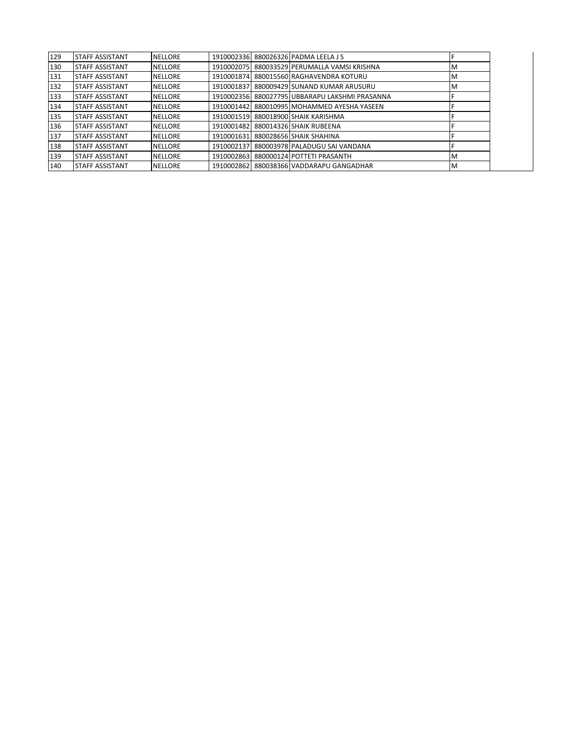| 129 | <b>STAFF ASSISTANT</b> | <b>NELLORE</b> |            | 1910002336 880026326 PADMA LEELA J S           |   |
|-----|------------------------|----------------|------------|------------------------------------------------|---|
| 130 | <b>STAFF ASSISTANT</b> | <b>NELLORE</b> |            | 1910002075 880033529 PERUMALLA VAMSI KRISHNA   | M |
| 131 | <b>STAFF ASSISTANT</b> | <b>NELLORE</b> |            | 1910001874 880015560 RAGHAVENDRA KOTURU        | M |
| 132 | <b>STAFF ASSISTANT</b> | <b>NELLORE</b> |            | 1910001837 880009429 SUNAND KUMAR ARUSURU      | M |
| 133 | <b>STAFF ASSISTANT</b> | <b>NELLORE</b> |            | 1910002356 880027795 UBBARAPU LAKSHMI PRASANNA |   |
| 134 | <b>STAFF ASSISTANT</b> | <b>NELLORE</b> |            | 1910001442 880010995 MOHAMMED AYESHA YASEEN    |   |
| 135 | <b>STAFF ASSISTANT</b> | <b>NELLORE</b> |            | 1910001519 880018900 SHAIK KARISHMA            |   |
| 136 | <b>STAFF ASSISTANT</b> | <b>NELLORE</b> |            | 1910001482 880014326 SHAIK RUBEENA             |   |
| 137 | <b>STAFF ASSISTANT</b> | <b>NELLORE</b> |            | 1910001631 880028656 SHAIK SHAHINA             |   |
| 138 | <b>STAFF ASSISTANT</b> | <b>NELLORE</b> |            | 1910002137 880003978 PALADUGU SAI VANDANA      |   |
| 139 | <b>STAFF ASSISTANT</b> | <b>NELLORE</b> | 1910002863 | 880000124 POTTETI PRASANTH                     | M |
| 140 | <b>STAFF ASSISTANT</b> | <b>NELLORE</b> |            | 1910002862 880038366 VADDARAPU GANGADHAR       | M |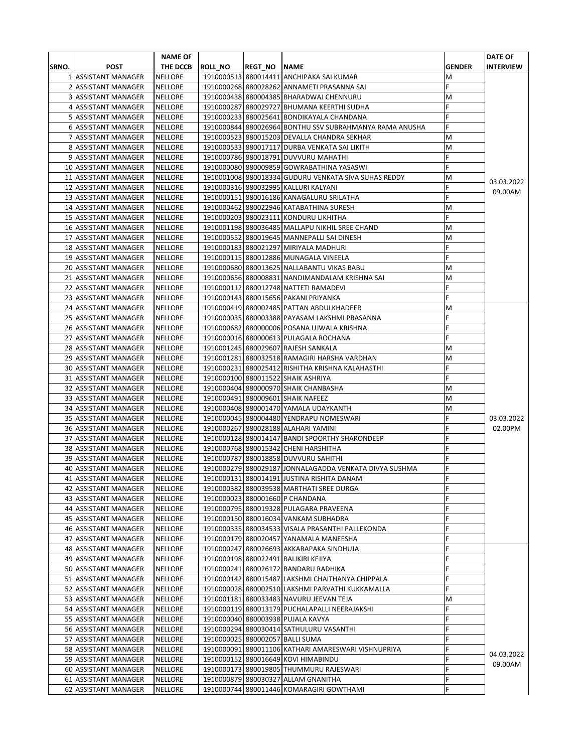|       |                             | <b>NAME OF</b> |                |                     |                                                         |               | <b>DATE OF</b>   |
|-------|-----------------------------|----------------|----------------|---------------------|---------------------------------------------------------|---------------|------------------|
| SRNO. | <b>POST</b>                 | THE DCCB       | <b>ROLL_NO</b> | <b>REGT_NO NAME</b> |                                                         | <b>GENDER</b> | <b>INTERVIEW</b> |
|       | 1 ASSISTANT MANAGER         | <b>NELLORE</b> |                |                     | 1910000513 880014411 ANCHIPAKA SAI KUMAR                | м             |                  |
|       | 2 ASSISTANT MANAGER         | NELLORE        |                |                     | 1910000268 880028262 ANNAMETI PRASANNA SAI              | F             |                  |
|       | 3 ASSISTANT MANAGER         | <b>NELLORE</b> |                |                     | 1910000438 880004385 BHARADWAJ CHENNURU                 | M             |                  |
|       | 4 ASSISTANT MANAGER         | <b>NELLORE</b> |                |                     | 1910000287 880029727 BHUMANA KEERTHI SUDHA              | F             |                  |
|       | 5 ASSISTANT MANAGER         | <b>NELLORE</b> |                |                     | 1910000233 880025641 BONDIKAYALA CHANDANA               | F             |                  |
|       | 6 ASSISTANT MANAGER         | <b>NELLORE</b> |                |                     | 1910000844 880026964 BONTHU SSV SUBRAHMANYA RAMA ANUSHA | F             |                  |
|       | 7 ASSISTANT MANAGER         | <b>NELLORE</b> |                |                     | 1910000523 880015203 DEVALLA CHANDRA SEKHAR             | M             |                  |
|       | 8 ASSISTANT MANAGER         | <b>NELLORE</b> |                |                     | 1910000533 880017117 DURBA VENKATA SAI LIKITH           | M             |                  |
|       | 9 ASSISTANT MANAGER         | <b>NELLORE</b> |                |                     | 1910000786 880018791 DUVVURU MAHATHI                    | F             |                  |
|       | 10 ASSISTANT MANAGER        | <b>NELLORE</b> |                |                     | 1910000080 880009859 GOWRABATHINA YASASWI               | F             |                  |
|       | 11 ASSISTANT MANAGER        | <b>NELLORE</b> |                |                     | 1910001008 880018334 GUDURU VENKATA SIVA SUHAS REDDY    | M             |                  |
|       | 12 ASSISTANT MANAGER        | <b>NELLORE</b> |                |                     | 1910000316 880032995 KALLURI KALYANI                    | F             | 03.03.2022       |
|       | 13 ASSISTANT MANAGER        | <b>NELLORE</b> |                |                     | 1910000151 880016186 KANAGALURU SRILATHA                | F             | 09.00AM          |
|       | 14 ASSISTANT MANAGER        | <b>NELLORE</b> |                |                     | 1910000462 880022946 KATABATHINA SURESH                 | M             |                  |
|       | 15 ASSISTANT MANAGER        | <b>NELLORE</b> |                |                     | 1910000203 880023111 KONDURU LIKHITHA                   | F             |                  |
|       | 16 ASSISTANT MANAGER        | <b>NELLORE</b> |                |                     | 1910001198 880036485 MALLAPU NIKHIL SREE CHAND          | M             |                  |
|       | 17 ASSISTANT MANAGER        | <b>NELLORE</b> |                |                     | 1910000552 880019645 MANNEPALLI SAI DINESH              | M             |                  |
|       | 18 ASSISTANT MANAGER        | <b>NELLORE</b> |                |                     | 1910000183 880021297 MIRIYALA MADHURI                   | F             |                  |
|       | 19 ASSISTANT MANAGER        | <b>NELLORE</b> |                |                     | 1910000115 880012886 MUNAGALA VINEELA                   | F             |                  |
|       | <b>20 ASSISTANT MANAGER</b> | <b>NELLORE</b> |                |                     | 1910000680 880013625 NALLABANTU VIKAS BABU              | M             |                  |
|       | 21 ASSISTANT MANAGER        | <b>NELLORE</b> |                |                     | 1910000656 880008831 NANDIMANDALAM KRISHNA SAI          | M             |                  |
|       | 22 ASSISTANT MANAGER        | <b>NELLORE</b> |                |                     | 1910000112 880012748 NATTETI RAMADEVI                   | F             |                  |
|       | 23 ASSISTANT MANAGER        | <b>NELLORE</b> |                |                     | 1910000143 880015656 PAKANI PRIYANKA                    | F             |                  |
|       | 24 ASSISTANT MANAGER        | <b>NELLORE</b> |                |                     | 1910000419 880002485 PATTAN ABDULKHADEER                | M             |                  |
|       | 25 ASSISTANT MANAGER        | <b>NELLORE</b> |                |                     | 1910000035 880003388 PAYASAM LAKSHMI PRASANNA           | F             |                  |
|       | 26 ASSISTANT MANAGER        | <b>NELLORE</b> |                |                     | 1910000682 880000006 POSANA UJWALA KRISHNA              | F             |                  |
|       | 27 ASSISTANT MANAGER        | <b>NELLORE</b> |                |                     | 1910000016 880000613 PULAGALA ROCHANA                   | F             |                  |
|       | 28 ASSISTANT MANAGER        | <b>NELLORE</b> |                |                     | 1910001245 880029607 RAJESH SANKALA                     | M             |                  |
|       | 29 ASSISTANT MANAGER        | <b>NELLORE</b> |                |                     | 1910001281 880032518 RAMAGIRI HARSHA VARDHAN            | M             |                  |
|       | 30 ASSISTANT MANAGER        | <b>NELLORE</b> |                |                     | 1910000231 880025412 RISHITHA KRISHNA KALAHASTHI        | F             |                  |
|       | 31 ASSISTANT MANAGER        | <b>NELLORE</b> |                |                     | 1910000100 880011522 SHAIK ASHRIYA                      | F             |                  |
|       | 32 ASSISTANT MANAGER        | <b>NELLORE</b> |                |                     | 1910000404 880000970 SHAIK CHANBASHA                    | M             |                  |
|       | 33 ASSISTANT MANAGER        | <b>NELLORE</b> |                |                     | 1910000491 880009601 SHAIK NAFEEZ                       | M             |                  |
|       | 34 ASSISTANT MANAGER        | <b>NELLORE</b> |                |                     | 1910000408 880001470 YAMALA UDAYKANTH                   | M             |                  |
|       | 35 ASSISTANT MANAGER        | <b>NELLORE</b> |                |                     | 1910000045 880004480 YENDRAPU NOMESWARI                 | F             | 03.03.2022       |
|       | 36 ASSISTANT MANAGER        | <b>NELLORE</b> |                |                     | 1910000267 880028188 ALAHARI YAMINI                     | F             | 02.00PM          |
|       | 37 ASSISTANT MANAGER        | <b>NELLORE</b> |                |                     | 1910000128 880014147 BANDI SPOORTHY SHARONDEEP          | F             |                  |
|       | 38 ASSISTANT MANAGER        | <b>NELLORE</b> |                |                     | 1910000768 880015342 CHENI HARSHITHA                    | F             |                  |
|       | 39 ASSISTANT MANAGER        | <b>NELLORE</b> |                |                     | 1910000787 880018858 DUVVURU SAHITHI                    | F             |                  |
|       | 40 ASSISTANT MANAGER        | <b>NELLORE</b> |                |                     | 1910000279 880029187 JONNALAGADDA VENKATA DIVYA SUSHMA  | F             |                  |
|       | 41 ASSISTANT MANAGER        | NELLORE        |                |                     | 1910000131 880014191 JUSTINA RISHITA DANAM              | ۴             |                  |
|       | 42 ASSISTANT MANAGER        | <b>NELLORE</b> |                |                     | 1910000382 880039538 MARTHATI SREE DURGA                | F             |                  |
|       | 43 ASSISTANT MANAGER        | NELLORE        |                |                     | 1910000023 880001660 P CHANDANA                         | F             |                  |
|       | 44 ASSISTANT MANAGER        | <b>NELLORE</b> |                |                     | 1910000795 880019328 PULAGARA PRAVEENA                  | F             |                  |
|       | 45 ASSISTANT MANAGER        | <b>NELLORE</b> |                |                     | 1910000150 880016034 VANKAM SUBHADRA                    | F             |                  |
|       | 46 ASSISTANT MANAGER        | <b>NELLORE</b> |                |                     | 1910000335 880034533 VISALA PRASANTHI PALLEKONDA        | F             |                  |
|       | 47 ASSISTANT MANAGER        | <b>NELLORE</b> |                |                     | 1910000179 880020457 YANAMALA MANEESHA                  | F             |                  |
|       | 48 ASSISTANT MANAGER        | <b>NELLORE</b> |                |                     | 1910000247 880026693 AKKARAPAKA SINDHUJA                | F             |                  |
|       | 49 ASSISTANT MANAGER        | <b>NELLORE</b> |                |                     | 1910000198 880022491 BALIKIRI KEJIYA                    | F             |                  |
|       | 50 ASSISTANT MANAGER        | NELLORE        |                |                     | 1910000241 880026172 BANDARU RADHIKA                    | F             |                  |
|       | 51 ASSISTANT MANAGER        | <b>NELLORE</b> |                |                     | 1910000142 880015487 LAKSHMI CHAITHANYA CHIPPALA        | F             |                  |
|       | 52 ASSISTANT MANAGER        | <b>NELLORE</b> |                |                     | 1910000028 880002510 LAKSHMI PARVATHI KUKKAMALLA        | F             |                  |
|       | 53 ASSISTANT MANAGER        | <b>NELLORE</b> |                |                     | 1910001181 880033483 NAVURU JEEVAN TEJA                 | M             |                  |
|       | 54 ASSISTANT MANAGER        | <b>NELLORE</b> |                |                     | 1910000119 880013179 PUCHALAPALLI NEERAJAKSHI           | F             |                  |
|       | 55 ASSISTANT MANAGER        | <b>NELLORE</b> |                |                     | 1910000040 880003938 PUJALA KAVYA                       | F             |                  |
|       | 56 ASSISTANT MANAGER        | <b>NELLORE</b> |                |                     | 1910000294 880030414 SATHULURU VASANTHI                 | F             |                  |
|       | 57 ASSISTANT MANAGER        | <b>NELLORE</b> |                |                     | 1910000025 880002057 BALLI SUMA                         | F             |                  |
|       | 58 ASSISTANT MANAGER        | NELLORE        |                |                     | 1910000091 880011106 KATHARI AMARESWARI VISHNUPRIYA     | F             | 04.03.2022       |
|       | 59 ASSISTANT MANAGER        | <b>NELLORE</b> |                |                     | 1910000152 880016649 KOVI HIMABINDU                     | Ë             | 09.00AM          |
|       | 60 ASSISTANT MANAGER        | <b>NELLORE</b> |                |                     | 1910000173 880019805 THUMMURU RAJESWARI                 | F             |                  |
|       | 61 ASSISTANT MANAGER        | <b>NELLORE</b> |                |                     | 1910000879 880030327 ALLAM GNANITHA                     | F             |                  |
|       | 62 ASSISTANT MANAGER        | NELLORE        |                |                     | 1910000744 880011446 KOMARAGIRI GOWTHAMI                | F             |                  |